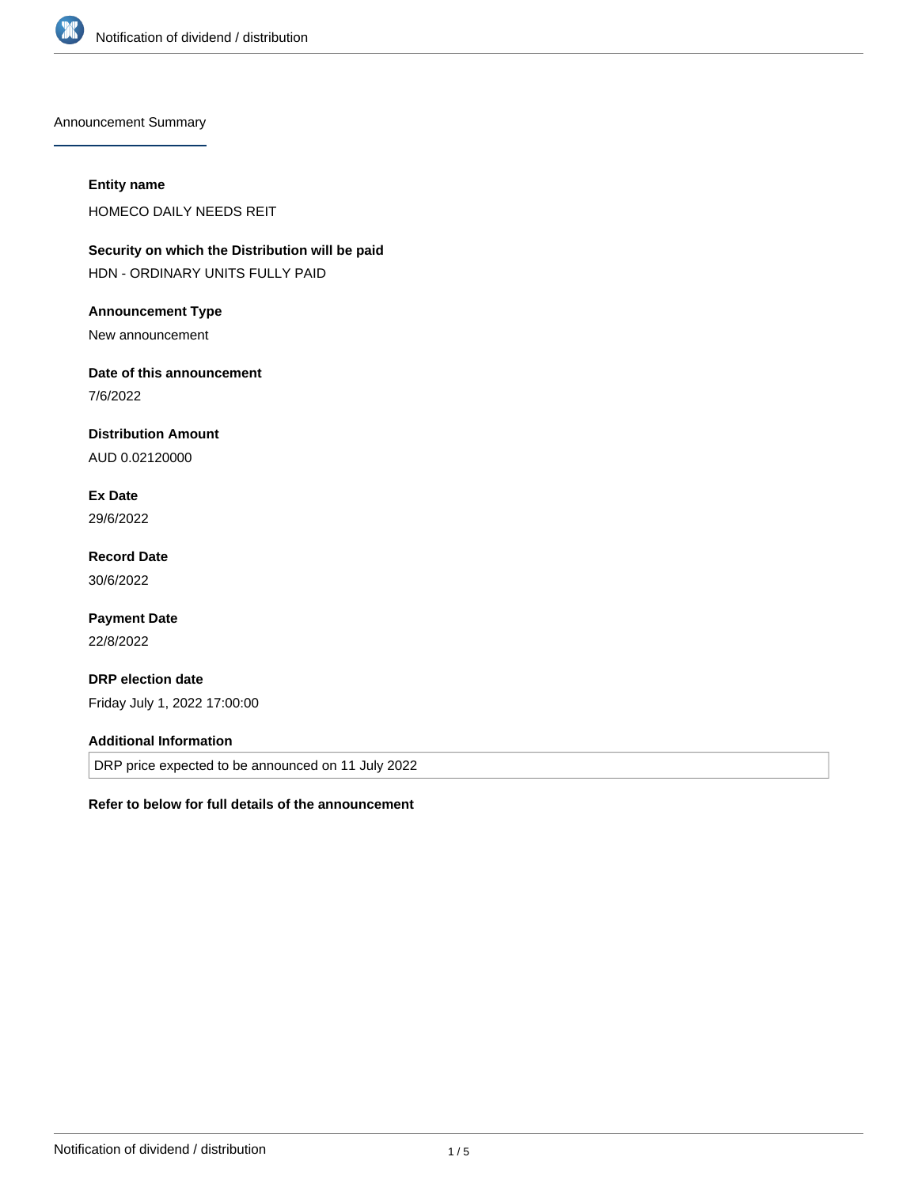

Announcement Summary

#### **Entity name**

HOMECO DAILY NEEDS REIT

**Security on which the Distribution will be paid** HDN - ORDINARY UNITS FULLY PAID

#### **Announcement Type**

New announcement

# **Date of this announcement**

7/6/2022

## **Distribution Amount**

AUD 0.02120000

# **Ex Date**

29/6/2022

## **Record Date** 30/6/2022

# **Payment Date**

22/8/2022

## **DRP election date**

Friday July 1, 2022 17:00:00

#### **Additional Information**

DRP price expected to be announced on 11 July 2022

#### **Refer to below for full details of the announcement**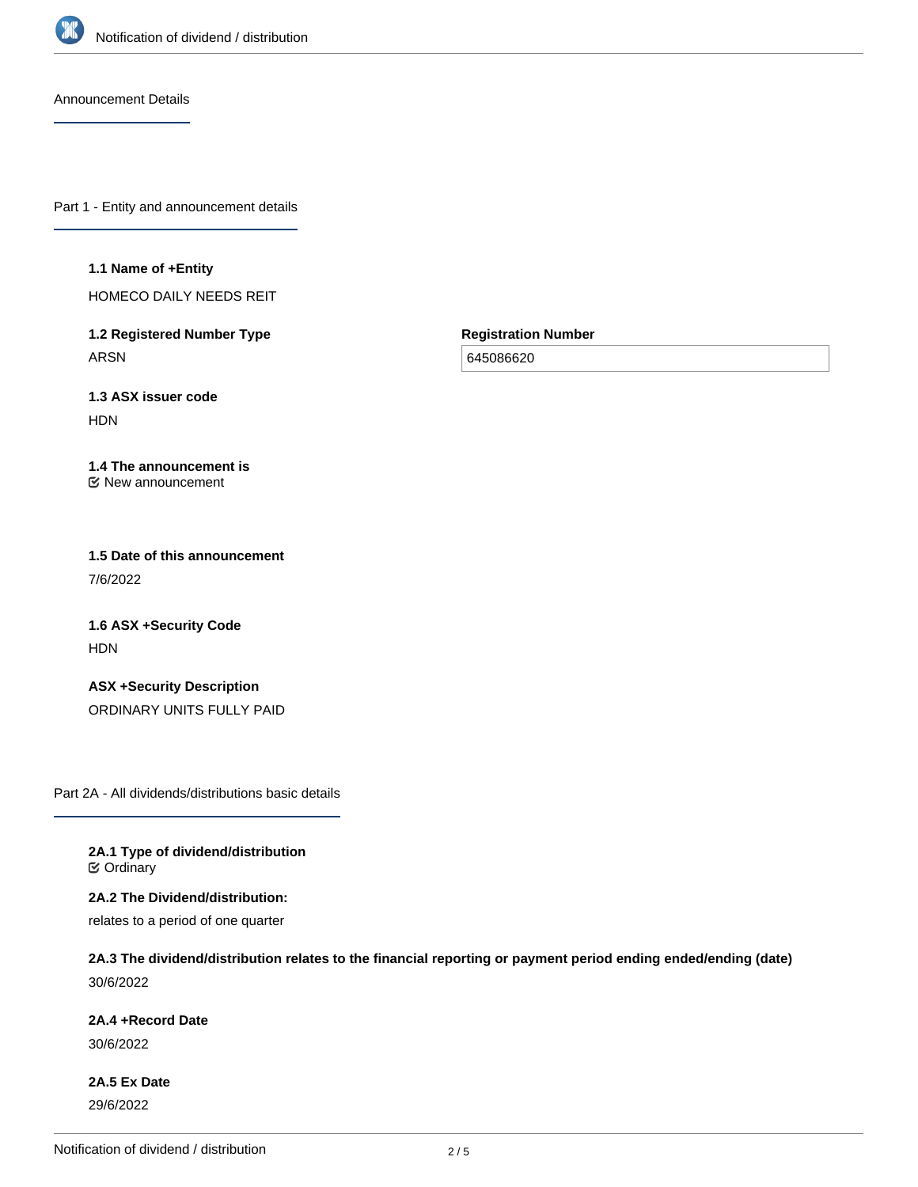

Announcement Details

Part 1 - Entity and announcement details

#### **1.1 Name of +Entity**

HOMECO DAILY NEEDS REIT

**1.2 Registered Number Type** ARSN

**Registration Number**

645086620

**1.3 ASX issuer code** HDN

#### **1.4 The announcement is** New announcement

**1.5 Date of this announcement** 7/6/2022

**1.6 ASX +Security Code** HDN

**ASX +Security Description** ORDINARY UNITS FULLY PAID

Part 2A - All dividends/distributions basic details

**2A.1 Type of dividend/distribution C** Ordinary

**2A.2 The Dividend/distribution:** relates to a period of one quarter

**2A.3 The dividend/distribution relates to the financial reporting or payment period ending ended/ending (date)** 30/6/2022

**2A.4 +Record Date**

30/6/2022

**2A.5 Ex Date** 29/6/2022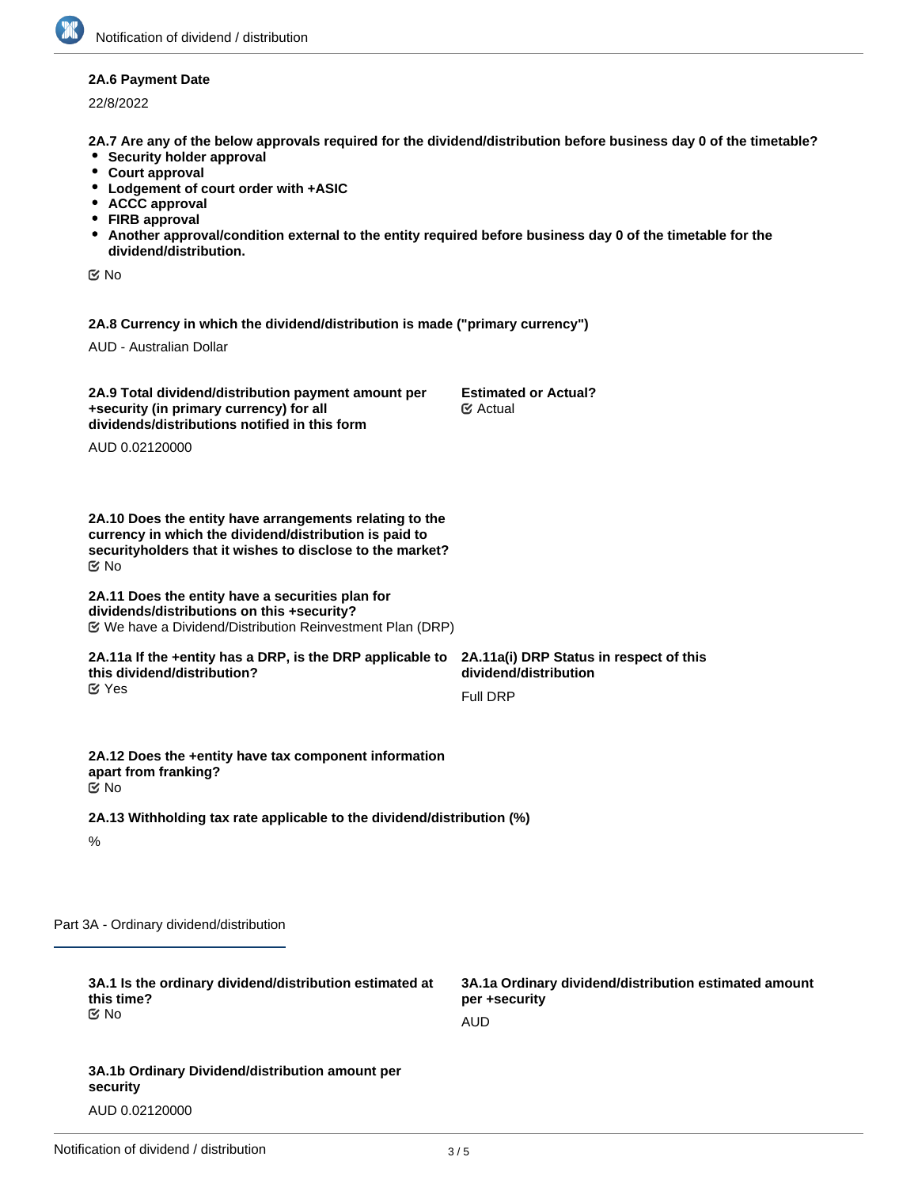#### **2A.6 Payment Date**

22/8/2022

**2A.7 Are any of the below approvals required for the dividend/distribution before business day 0 of the timetable?**

- **•** Security holder approval
- **Court approval**
- **Lodgement of court order with +ASIC**
- **ACCC approval**
- **FIRB approval**
- **Another approval/condition external to the entity required before business day 0 of the timetable for the dividend/distribution.**

No

**2A.8 Currency in which the dividend/distribution is made ("primary currency")**

AUD - Australian Dollar

| 2A.9 Total dividend/distribution payment amount per<br>+security (in primary currency) for all<br>dividends/distributions notified in this form                                              | <b>Estimated or Actual?</b><br>$\mathfrak{S}$ Actual  |  |
|----------------------------------------------------------------------------------------------------------------------------------------------------------------------------------------------|-------------------------------------------------------|--|
| AUD 0.02120000                                                                                                                                                                               |                                                       |  |
|                                                                                                                                                                                              |                                                       |  |
| 2A.10 Does the entity have arrangements relating to the<br>currency in which the dividend/distribution is paid to<br>security holders that it wishes to disclose to the market?<br><b>Mo</b> |                                                       |  |
| 2A.11 Does the entity have a securities plan for<br>dividends/distributions on this +security?                                                                                               |                                                       |  |
| 2A.11a If the +entity has a DRP, is the DRP applicable to 2A.11a(i) DRP Status in respect of this<br>this dividend/distribution?                                                             | dividend/distribution                                 |  |
| $\mathfrak{C}$ Yes                                                                                                                                                                           | <b>Full DRP</b>                                       |  |
|                                                                                                                                                                                              |                                                       |  |
| 2A.12 Does the +entity have tax component information<br>apart from franking?<br>় No                                                                                                        |                                                       |  |
| 2A.13 Withholding tax rate applicable to the dividend/distribution (%)                                                                                                                       |                                                       |  |
| $\%$                                                                                                                                                                                         |                                                       |  |
|                                                                                                                                                                                              |                                                       |  |
| 3A - Ordinary dividend/distribution                                                                                                                                                          |                                                       |  |
| 3A.1 Is the ordinary dividend/distribution estimated at                                                                                                                                      | 3A.1a Ordinary dividend/distribution estimated amount |  |
| this time?<br>Mo No                                                                                                                                                                          | per +security                                         |  |
|                                                                                                                                                                                              | <b>AUD</b>                                            |  |
| 3A.1b Ordinary Dividend/distribution amount per                                                                                                                                              |                                                       |  |

Part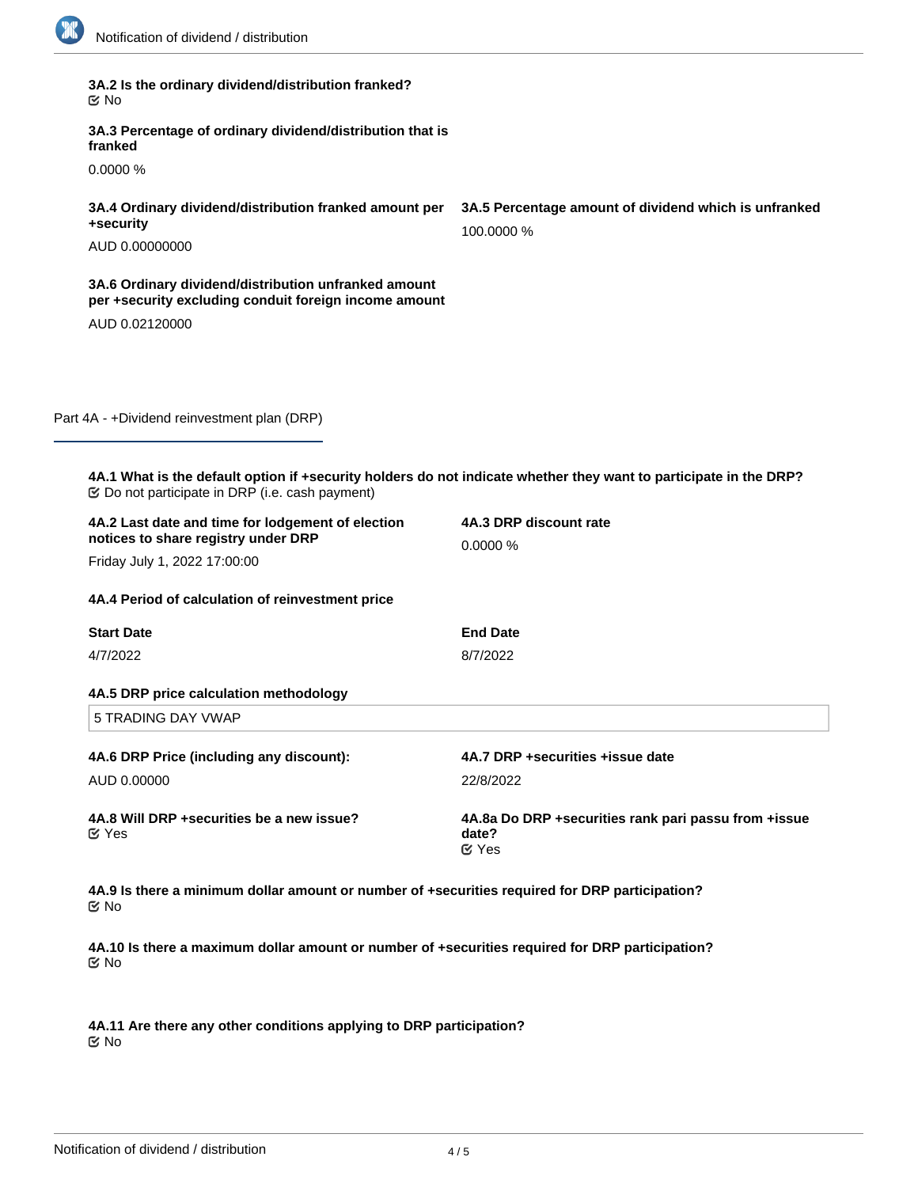| 3A.2 Is the ordinary dividend/distribution franked?<br>় No                                                                                                                  |                                                                          |  |
|------------------------------------------------------------------------------------------------------------------------------------------------------------------------------|--------------------------------------------------------------------------|--|
| 3A.3 Percentage of ordinary dividend/distribution that is<br>franked                                                                                                         |                                                                          |  |
| 0.0000%                                                                                                                                                                      |                                                                          |  |
| 3A.4 Ordinary dividend/distribution franked amount per<br>+security                                                                                                          | 3A.5 Percentage amount of dividend which is unfranked<br>100.0000 %      |  |
| AUD 0.00000000                                                                                                                                                               |                                                                          |  |
| 3A.6 Ordinary dividend/distribution unfranked amount<br>per +security excluding conduit foreign income amount                                                                |                                                                          |  |
| AUD 0.02120000                                                                                                                                                               |                                                                          |  |
|                                                                                                                                                                              |                                                                          |  |
|                                                                                                                                                                              |                                                                          |  |
| Part 4A - +Dividend reinvestment plan (DRP)                                                                                                                                  |                                                                          |  |
|                                                                                                                                                                              |                                                                          |  |
| 4A.1 What is the default option if +security holders do not indicate whether they want to participate in the DRP?<br><b> ©</b> Do not participate in DRP (i.e. cash payment) |                                                                          |  |
| 4A.2 Last date and time for lodgement of election<br>notices to share registry under DRP                                                                                     | 4A.3 DRP discount rate                                                   |  |
| Friday July 1, 2022 17:00:00                                                                                                                                                 | 0.0000%                                                                  |  |
| 4A.4 Period of calculation of reinvestment price                                                                                                                             |                                                                          |  |
| <b>Start Date</b>                                                                                                                                                            | <b>End Date</b>                                                          |  |
| 4/7/2022                                                                                                                                                                     | 8/7/2022                                                                 |  |
| 4A.5 DRP price calculation methodology                                                                                                                                       |                                                                          |  |
| <b>5 TRADING DAY VWAP</b>                                                                                                                                                    |                                                                          |  |
| 4A.6 DRP Price (including any discount):                                                                                                                                     | 4A.7 DRP +securities +issue date                                         |  |
| AUD 0.00000                                                                                                                                                                  | 22/8/2022                                                                |  |
| 4A.8 Will DRP +securities be a new issue?<br>$\mathfrak{C}$ Yes                                                                                                              | 4A.8a Do DRP +securities rank pari passu from +issue<br>date?<br>$C$ Yes |  |
| 4A.9 Is there a minimum dollar amount or number of +securities required for DRP participation?<br>Mo No                                                                      |                                                                          |  |
| 4A.10 Is there a maximum dollar amount or number of +securities required for DRP participation?<br><b>Mo</b>                                                                 |                                                                          |  |

**4A.11 Are there any other conditions applying to DRP participation?** No